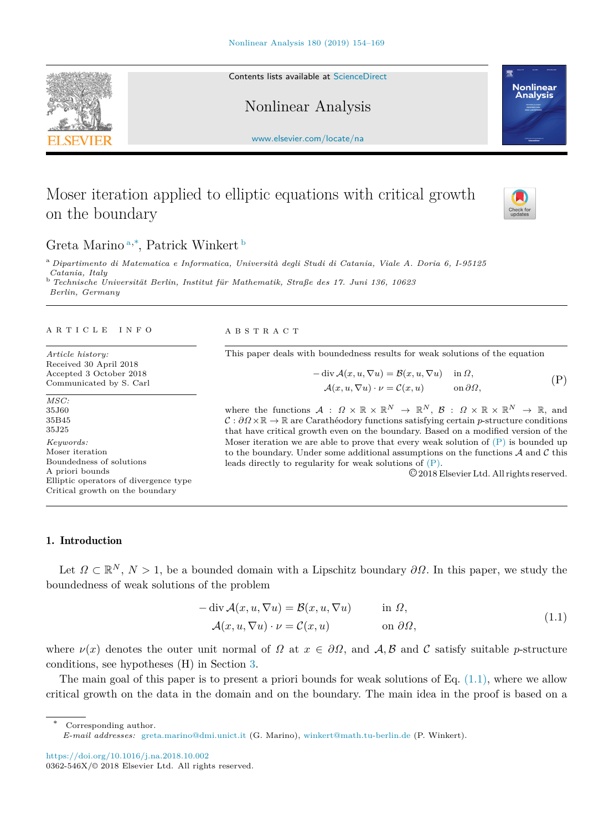Contents lists available at [ScienceDirect](http://www.elsevier.com/locate/na)

Nonlinear Analysis

[www.elsevier.com/locate/na](http://www.elsevier.com/locate/na)

# Moser iteration applied to elliptic equations with critical growth on the boundary

## Gret[a](#page-0-0) Marino<sup>a,\*</sup>, Patrick Winkert [b](#page-0-2)

<span id="page-0-0"></span><sup>a</sup> *Dipartimento di Matematica e Informatica, Università degli Studi di Catania, Viale A. Doria 6, I-95125 Catania, Italy* <sup>b</sup> *Technische Universität Berlin, Institut für Mathematik, Straße des 17. Juni 136, 10623*

<span id="page-0-2"></span>*Berlin, Germany*

#### a r t i c l e i n f o

*Article history:* Received 30 April 2018 Accepted 3 October 2018 Communicated by S. Carl

*MSC:* 35J60 35B45 35J25 *Keywords:* Moser iteration Boundedness of solutions A priori bounds Elliptic operators of divergence type Critical growth on the boundary

A B S T R A C T

This paper deals with boundedness results for weak solutions of the equation

$$
- \operatorname{div} \mathcal{A}(x, u, \nabla u) = \mathcal{B}(x, u, \nabla u) \quad \text{in } \Omega,
$$
  

$$
\mathcal{A}(x, u, \nabla u) \cdot \nu = \mathcal{C}(x, u) \quad \text{on } \partial \Omega,
$$
 (P)

where the functions  $A : \Omega \times \mathbb{R} \times \mathbb{R}^N \to \mathbb{R}^N$ ,  $B : \Omega \times \mathbb{R} \times \mathbb{R}^N \to \mathbb{R}$ , and C : *∂*Ω ×R → R are Carathéodory functions satisfying certain *p*-structure conditions that have critical growth even on the boundary. Based on a modified version of the Moser iteration we are able to prove that every weak solution of  $(P)$  $(P)$  is bounded up to the boundary. Under some additional assumptions on the functions  $A$  and  $C$  this leads directly to regularity for weak solutions of ([P](#page-0-3)).

<span id="page-0-4"></span><span id="page-0-3"></span>©2018 Elsevier Ltd. All rights reserved.

## 1. Introduction

Let  $\Omega \subset \mathbb{R}^N$ ,  $N > 1$ , be a bounded domain with a Lipschitz boundary  $\partial \Omega$ . In this paper, we study the boundedness of weak solutions of the problem

$$
-\operatorname{div} \mathcal{A}(x, u, \nabla u) = \mathcal{B}(x, u, \nabla u) \quad \text{in } \Omega,
$$
  

$$
\mathcal{A}(x, u, \nabla u) \cdot \nu = \mathcal{C}(x, u) \quad \text{on } \partial \Omega,
$$
 (1.1)

where  $\nu(x)$  denotes the outer unit normal of  $\Omega$  at  $x \in \partial \Omega$ , and  $\mathcal{A}, \mathcal{B}$  and  $\mathcal{C}$  satisfy suitable *p*-structure conditions, see hypotheses (H) in Section [3](#page-4-0).

The main goal of this paper is to present a priori bounds for weak solutions of Eq.  $(1.1)$  $(1.1)$ , where we allow critical growth on the data in the domain and on the boundary. The main idea in the proof is based on a

*E-mail addresses:* [greta.marino@dmi.unict.it](mailto:greta.marino@dmi.unict.it) (G. Marino), [winkert@math.tu-berlin.de](mailto:winkert@math.tu-berlin.de) (P. Winkert).

<https://doi.org/10.1016/j.na.2018.10.002>

<span id="page-0-1"></span>Corresponding author.





<sup>0362-546</sup>X/© 2018 Elsevier Ltd. All rights reserved.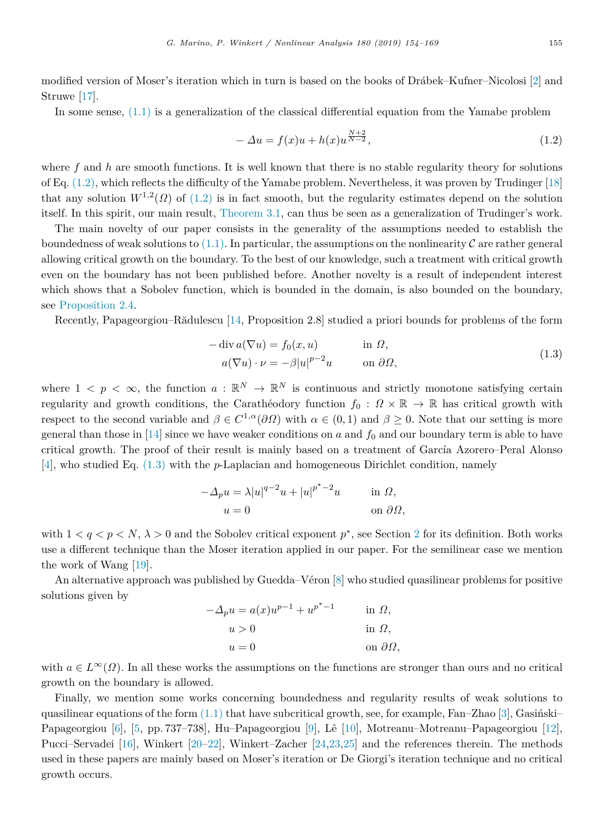modified version of Moser's iteration which in turn is based on the books of Drábek–Kufner–Nicolosi [\[2](#page-14-0)] and Struwe [[17\]](#page-14-1).

In some sense,  $(1.1)$  $(1.1)$  $(1.1)$  is a generalization of the classical differential equation from the Yamabe problem

<span id="page-1-0"></span>
$$
-\Delta u = f(x)u + h(x)u^{\frac{N+2}{N-2}},\tag{1.2}
$$

where  $f$  and  $h$  are smooth functions. It is well known that there is no stable regularity theory for solutions of Eq. [\(1.2](#page-1-0)), which reflects the difficulty of the Yamabe problem. Nevertheless, it was proven by Trudinger [[18\]](#page-15-0) that any solution  $W^{1,2}(\Omega)$  of  $(1.2)$  $(1.2)$  $(1.2)$  is in fact smooth, but the regularity estimates depend on the solution itself. In this spirit, our main result, [Theorem](#page-4-1) [3.1,](#page-4-1) can thus be seen as a generalization of Trudinger's work.

The main novelty of our paper consists in the generality of the assumptions needed to establish the boundedness of weak solutions to  $(1.1)$  $(1.1)$ . In particular, the assumptions on the nonlinearity C are rather general allowing critical growth on the boundary. To the best of our knowledge, such a treatment with critical growth even on the boundary has not been published before. Another novelty is a result of independent interest which shows that a Sobolev function, which is bounded in the domain, is also bounded on the boundary, see [Proposition](#page-3-0) [2.4](#page-3-0).

Recently, Papageorgiou–Rădulescu [[14,](#page-14-2) Proposition 2.8] studied a priori bounds for problems of the form

<span id="page-1-1"></span>
$$
-\operatorname{div} a(\nabla u) = f_0(x, u) \qquad \text{in } \Omega,
$$
  
\n
$$
a(\nabla u) \cdot \nu = -\beta |u|^{p-2} u \qquad \text{on } \partial \Omega,
$$
\n(1.3)

where  $1 \leq p \leq \infty$ , the function  $a : \mathbb{R}^N \to \mathbb{R}^N$  is continuous and strictly monotone satisfying certain regularity and growth conditions, the Carathéodory function  $f_0 : \Omega \times \mathbb{R} \to \mathbb{R}$  has critical growth with respect to the second variable and  $\beta \in C^{1,\alpha}(\partial\Omega)$  with  $\alpha \in (0,1)$  and  $\beta \geq 0$ . Note that our setting is more general than those in [\[14](#page-14-2)] since we have weaker conditions on  $a$  and  $f_0$  and our boundary term is able to have critical growth. The proof of their result is mainly based on a treatment of García Azorero–Peral Alonso [[4\]](#page-14-3), who studied Eq. ([1.3](#page-1-1)) with the *p*-Laplacian and homogeneous Dirichlet condition, namely

$$
-\Delta_p u = \lambda |u|^{q-2}u + |u|^{p^*-2}u \quad \text{in } \Omega,
$$
  
 
$$
u = 0 \quad \text{on } \partial\Omega,
$$

with  $1 < q < p < N$ ,  $\lambda > 0$  and the Sobolev critical exponent  $p^*$ , see Section [2](#page-2-0) for its definition. Both works use a different technique than the Moser iteration applied in our paper. For the semilinear case we mention the work of Wang [[19\]](#page-15-1).

An alternative approach was published by Guedda–Véron [\[8](#page-14-4)] who studied quasilinear problems for positive solutions given by

$$
-\Delta_p u = a(x)u^{p-1} + u^{p^*-1} \quad \text{in } \Omega,
$$
  
\n
$$
u > 0 \quad \text{in } \Omega,
$$
  
\n
$$
u = 0 \quad \text{on } \partial\Omega,
$$

with  $a \in L^{\infty}(\Omega)$ . In all these works the assumptions on the functions are stronger than ours and no critical growth on the boundary is allowed.

Finally, we mention some works concerning boundedness and regularity results of weak solutions to quasilinear equations of the form  $(1.1)$  $(1.1)$  that have subcritical growth, see, for example, Fan–Zhao [[3\]](#page-14-5), Gasiński– Papageorgiou [[6\]](#page-14-6), [[5,](#page-14-7) pp. 737–738], Hu–Papageorgiou [[9\]](#page-14-8), Lê [\[10\]](#page-14-9), Motreanu–Motreanu–Papageorgiou [[12\]](#page-14-10), Pucci–Servadei [[16\]](#page-14-11), Winkert [[20–](#page-15-2)[22\]](#page-15-3), Winkert–Zacher [[24,](#page-15-4)[23](#page-15-5),[25\]](#page-15-6) and the references therein. The methods used in these papers are mainly based on Moser's iteration or De Giorgi's iteration technique and no critical growth occurs.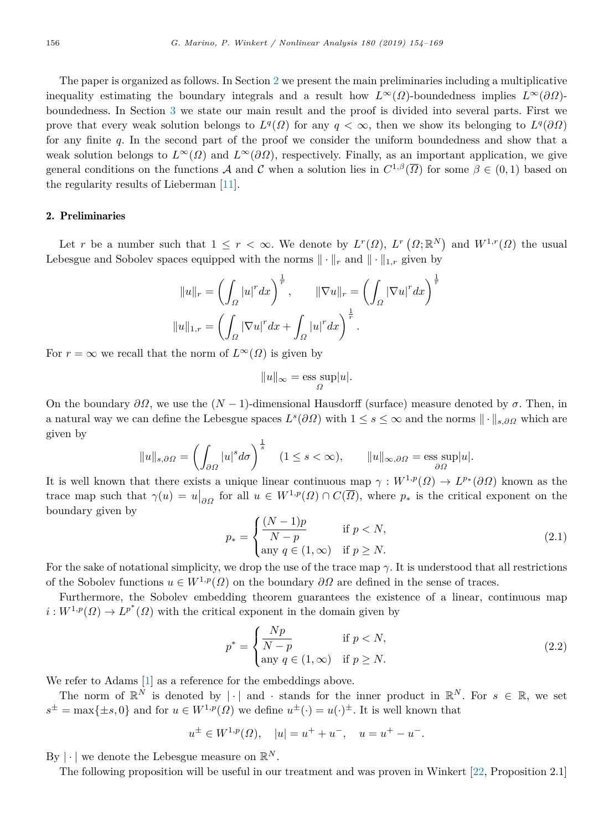The paper is organized as follows. In Section [2](#page-2-0) we present the main preliminaries including a multiplicative inequality estimating the boundary integrals and a result how  $L^{\infty}(\Omega)$ -boundedness implies  $L^{\infty}(\partial \Omega)$ boundedness. In Section [3](#page-4-0) we state our main result and the proof is divided into several parts. First we prove that every weak solution belongs to  $L^q(\Omega)$  for any  $q < \infty$ , then we show its belonging to  $L^q(\partial\Omega)$ for any finite *q*. In the second part of the proof we consider the uniform boundedness and show that a weak solution belongs to  $L^{\infty}(\Omega)$  and  $L^{\infty}(\partial\Omega)$ , respectively. Finally, as an important application, we give general conditions on the functions A and C when a solution lies in  $C^{1,\beta}(\overline{\Omega})$  for some  $\beta \in (0,1)$  based on the regularity results of Lieberman [\[11\]](#page-14-12).

#### 2. Preliminaries

<span id="page-2-0"></span>Let *r* be a number such that  $1 \leq r < \infty$ . We denote by  $L^r(\Omega)$ ,  $L^r(\Omega;\mathbb{R}^N)$  and  $W^{1,r}(\Omega)$  the usual Lebesgue and Sobolev spaces equipped with the norms  $\|\cdot\|_r$  and  $\|\cdot\|_{1,r}$  given by

$$
||u||_r = \left(\int_{\Omega} |u|^r dx\right)^{\frac{1}{r}}, \qquad ||\nabla u||_r = \left(\int_{\Omega} |\nabla u|^r dx\right)^{\frac{1}{r}}
$$

$$
||u||_{1,r} = \left(\int_{\Omega} |\nabla u|^r dx + \int_{\Omega} |u|^r dx\right)^{\frac{1}{r}}.
$$

For  $r = \infty$  we recall that the norm of  $L^{\infty}(\Omega)$  is given by

<span id="page-2-1"></span>
$$
||u||_{\infty} = \operatorname*{ess\ sup}_{\Omega} |u|.
$$

On the boundary  $\partial\Omega$ , we use the  $(N-1)$ -dimensional Hausdorff (surface) measure denoted by  $\sigma$ . Then, in a natural way we can define the Lebesgue spaces  $L^s(\partial\Omega)$  with  $1 \leq s \leq \infty$  and the norms  $\|\cdot\|_{s,\partial\Omega}$  which are given by

$$
||u||_{s,\partial\Omega} = \left(\int_{\partial\Omega} |u|^s d\sigma\right)^{\frac{1}{s}} \quad (1 \le s < \infty), \qquad ||u||_{\infty,\partial\Omega} = \underset{\partial\Omega}{\text{ess sup}} |u|.
$$

It is well known that there exists a unique linear continuous map  $\gamma: W^{1,p}(\Omega) \to L^{p*}(\partial\Omega)$  known as the trace map such that  $\gamma(u) = u|_{\partial\Omega}$  for all  $u \in W^{1,p}(\Omega) \cap C(\overline{\Omega})$ , where  $p_*$  is the critical exponent on the boundary given by

$$
p_* = \begin{cases} \frac{(N-1)p}{N-p} & \text{if } p < N, \\ \text{any } q \in (1,\infty) & \text{if } p \ge N. \end{cases}
$$
 (2.1)

For the sake of notational simplicity, we drop the use of the trace map *γ*. It is understood that all restrictions of the Sobolev functions  $u \in W^{1,p}(\Omega)$  on the boundary  $\partial \Omega$  are defined in the sense of traces.

Furthermore, the Sobolev embedding theorem guarantees the existence of a linear, continuous map  $i: W^{1,p}(\Omega) \to L^{p^*}(\Omega)$  with the critical exponent in the domain given by

$$
p^* = \begin{cases} \frac{Np}{N-p} & \text{if } p < N, \\ \text{any } q \in (1, \infty) & \text{if } p \ge N. \end{cases}
$$
 (2.2)

We refer to Adams [\[1](#page-14-13)] as a reference for the embeddings above.

The norm of  $\mathbb{R}^N$  is denoted by  $|\cdot|$  and  $\cdot$  stands for the inner product in  $\mathbb{R}^N$ . For  $s \in \mathbb{R}$ , we set  $s^{\pm} = \max\{\pm s, 0\}$  and for  $u \in W^{1,p}(\Omega)$  we define  $u^{\pm}(\cdot) = u(\cdot)^{\pm}$ . It is well known that

$$
u^{\pm} \in W^{1,p}(\Omega)
$$
,  $|u| = u^{+} + u^{-}$ ,  $u = u^{+} - u^{-}$ .

By  $|\cdot|$  we denote the Lebesgue measure on  $\mathbb{R}^N$ .

<span id="page-2-2"></span>The following proposition will be useful in our treatment and was proven in Winkert [[22,](#page-15-3) Proposition 2.1]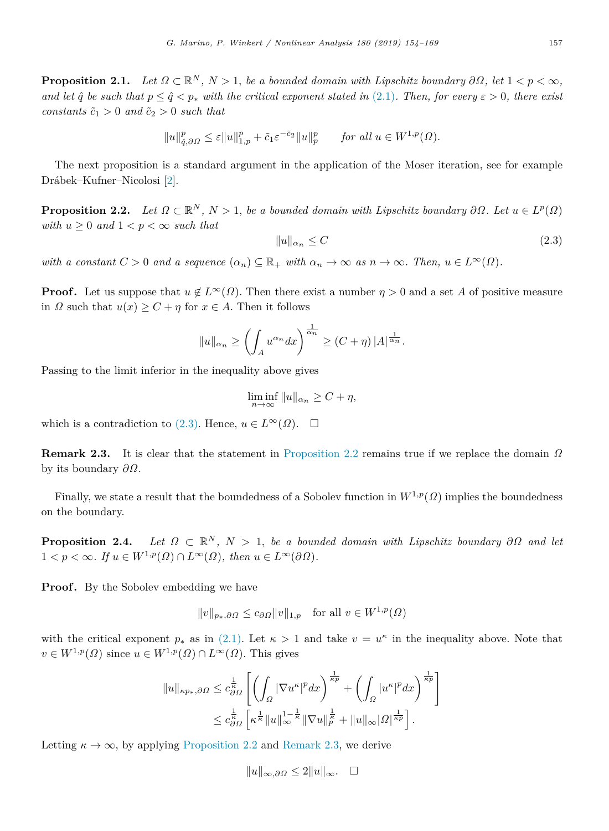**Proposition 2.1.** *Let*  $\Omega \subset \mathbb{R}^N$ ,  $N > 1$ , *be a bounded domain with Lipschitz boundary*  $\partial\Omega$ , *let*  $1 < p < \infty$ , *and let*  $\hat{q}$  *be such that*  $p \leq \hat{q} \leq p_*$  with the critical exponent stated in ([2.1](#page-2-1)). Then, for every  $\varepsilon > 0$ , there exist *constants*  $\tilde{c}_1 > 0$  *and*  $\tilde{c}_2 > 0$  *such that* 

$$
||u||_{\hat{q},\partial\Omega}^p \leq \varepsilon ||u||_{1,p}^p + \tilde{c}_1 \varepsilon^{-\tilde{c}_2} ||u||_p^p \quad \text{for all } u \in W^{1,p}(\Omega).
$$

The next proposition is a standard argument in the application of the Moser iteration, see for example Drábek–Kufner–Nicolosi [\[2](#page-14-0)].

<span id="page-3-2"></span>**Proposition 2.2.** Let  $\Omega \subset \mathbb{R}^N$ ,  $N > 1$ , be a bounded domain with Lipschitz boundary  $\partial \Omega$ . Let  $u \in L^p(\Omega)$ *with*  $u \geq 0$  *and*  $1 < p < \infty$  *such that* 

<span id="page-3-1"></span>
$$
||u||_{\alpha_n} \le C \tag{2.3}
$$

*with* a constant  $C > 0$  and a sequence  $(\alpha_n) \subseteq \mathbb{R}_+$  *with*  $\alpha_n \to \infty$  as  $n \to \infty$ *. Then,*  $u \in L^{\infty}(\Omega)$ *.* 

**Proof.** Let us suppose that  $u \notin L^{\infty}(\Omega)$ . Then there exist a number  $\eta > 0$  and a set *A* of positive measure in  $\Omega$  such that  $u(x) \geq C + \eta$  for  $x \in A$ . Then it follows

$$
||u||_{\alpha_n} \ge \left(\int_A u^{\alpha_n} dx\right)^{\frac{1}{\alpha_n}} \ge (C+\eta) |A|^{\frac{1}{\alpha_n}}.
$$

Passing to the limit inferior in the inequality above gives

$$
\liminf_{n \to \infty} ||u||_{\alpha_n} \ge C + \eta,
$$

which is a contradiction to [\(2.3](#page-3-1)). Hence,  $u \in L^{\infty}(\Omega)$ .  $\Box$ 

<span id="page-3-3"></span>**Remark 2.3.** It is clear that the statement in [Proposition](#page-3-2) [2.2](#page-3-2) remains true if we replace the domain Ω by its boundary *∂*Ω.

Finally, we state a result that the boundedness of a Sobolev function in  $W^{1,p}(\Omega)$  implies the boundedness on the boundary.

<span id="page-3-0"></span>**Proposition 2.4.** *Let*  $\Omega \subset \mathbb{R}^N$ ,  $N > 1$ , *be a bounded domain with Lipschitz boundary*  $\partial \Omega$  *and let*  $1 < p < \infty$ *. If*  $u \in W^{1,p}(\Omega) \cap L^{\infty}(\Omega)$ *, then*  $u \in L^{\infty}(\partial\Omega)$ *.* 

**Proof.** By the Sobolev embedding we have

∥*v*∥*<sup>p</sup>*∗*,∂*<sup>Ω</sup> ≤ *c∂*<sup>Ω</sup> ∥*v*∥1*,p* for all *v* ∈ *W*<sup>1</sup>*,p*(Ω)

with the critical exponent  $p_*$  as in [\(2.1\)](#page-2-1). Let  $\kappa > 1$  and take  $v = u^{\kappa}$  in the inequality above. Note that  $v \in W^{1,p}(\Omega)$  since  $u \in W^{1,p}(\Omega) \cap L^{\infty}(\Omega)$ . This gives

$$
||u||_{\kappa p_*,\partial\Omega} \leq c_{\partial\Omega}^{\frac{1}{\kappa}} \left[ \left( \int_{\Omega} |\nabla u^{\kappa}|^p dx \right)^{\frac{1}{\kappa p}} + \left( \int_{\Omega} |u^{\kappa}|^p dx \right)^{\frac{1}{\kappa p}} \right]
$$
  

$$
\leq c_{\partial\Omega}^{\frac{1}{\kappa}} \left[ \kappa^{\frac{1}{\kappa}} ||u||_{\infty}^{1-\frac{1}{\kappa}} ||\nabla u||_p^{\frac{1}{\kappa}} + ||u||_{\infty} |\Omega|^{\frac{1}{\kappa p}} \right].
$$

Letting  $\kappa \to \infty$ , by applying [Proposition](#page-3-2) [2.2](#page-3-2) and [Remark](#page-3-3) [2.3,](#page-3-3) we derive

$$
||u||_{\infty,\partial\varOmega}\leq 2||u||_{\infty}.\quad \Box
$$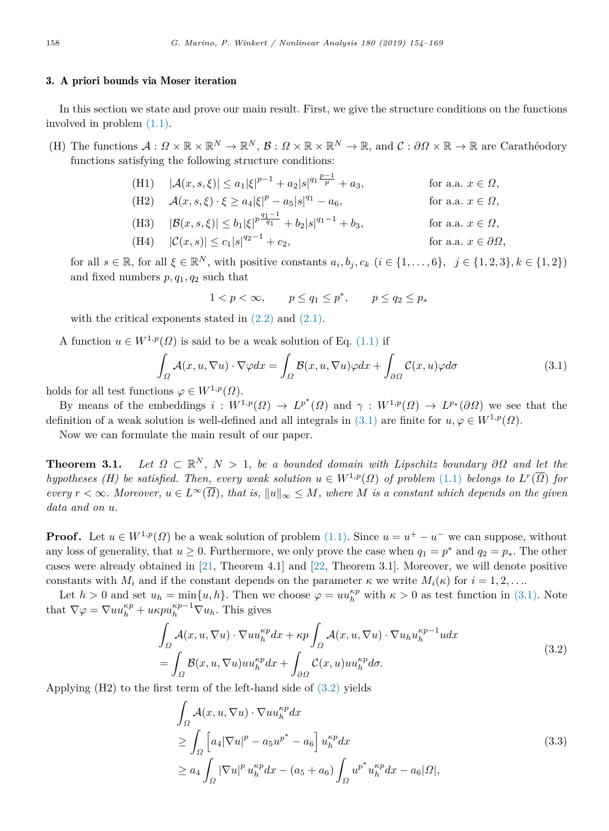#### 3. A priori bounds via Moser iteration

<span id="page-4-0"></span>In this section we state and prove our main result. First, we give the structure conditions on the functions involved in problem [\(1.1\)](#page-0-4).

(H) The functions  $\mathcal{A}: \Omega \times \mathbb{R} \times \mathbb{R}^N \to \mathbb{R}^N$ ,  $\mathcal{B}: \Omega \times \mathbb{R} \times \mathbb{R}^N \to \mathbb{R}$ , and  $\mathcal{C}: \partial \Omega \times \mathbb{R} \to \mathbb{R}$  are Carathéodory functions satisfying the following structure conditions:

(H1) 
$$
|\mathcal{A}(x, s, \xi)| \le a_1 |\xi|^{p-1} + a_2 |s|^{q_1 \frac{p-1}{p}} + a_3
$$
, for a.a.  $x \in \Omega$ ,  
\n(H2)  $\mathcal{A}(x, s, \xi) \cdot \xi \ge a_4 |\xi|^p - a_5 |s|^{q_1} - a_6$ , for a.a.  $x \in \Omega$ ,

(H3) 
$$
|\mathcal{B}(x, s, \xi)| \le b_1 |\xi|^{p \frac{q_1 - 1}{q_1}} + b_2 |s|^{q_1 - 1} + b_3
$$
, for a.a.  $x \in \Omega$ ,  
\n(H4)  $|\mathcal{C}(x, s)| \le c_1 |s|^{q_2 - 1} + c_2$ , for a.a.  $x \in \partial\Omega$ ,

for all  $s \in \mathbb{R}$ , for all  $\xi \in \mathbb{R}^N$ , with positive constants  $a_i, b_j, c_k$   $(i \in \{1, \ldots, 6\}, \ j \in \{1, 2, 3\}, k \in \{1, 2\})$ and fixed numbers  $p, q_1, q_2$  such that

<span id="page-4-2"></span>
$$
1 < p < \infty, \qquad p \le q_1 \le p^*, \qquad p \le q_2 \le p_*
$$

with the critical exponents stated in  $(2.2)$  and  $(2.1)$ .

A function  $u \in W^{1,p}(\Omega)$  is said to be a weak solution of Eq. [\(1.1\)](#page-0-4) if

$$
\int_{\Omega} \mathcal{A}(x, u, \nabla u) \cdot \nabla \varphi dx = \int_{\Omega} \mathcal{B}(x, u, \nabla u) \varphi dx + \int_{\partial \Omega} \mathcal{C}(x, u) \varphi d\sigma \tag{3.1}
$$

holds for all test functions  $\varphi \in W^{1,p}(\Omega)$ .

By means of the embeddings  $i : W^{1,p}(\Omega) \to L^{p^*}(\Omega)$  and  $\gamma : W^{1,p}(\Omega) \to L^{p^*}(\partial \Omega)$  we see that the definition of a weak solution is well-defined and all integrals in ([3.1\)](#page-4-2) are finite for  $u, \varphi \in W^{1,p}(\Omega)$ .

<span id="page-4-1"></span>Now we can formulate the main result of our paper.

**Theorem 3.1.** Let  $\Omega \subset \mathbb{R}^N$ ,  $N > 1$ , be a bounded domain with Lipschitz boundary  $\partial \Omega$  and let the *hypotheses (H) be satisfied. Then, every weak solution*  $u \in W^{1,p}(\Omega)$  *of problem* ([1.1](#page-0-4)) *belongs to*  $L^r(\overline{\Omega})$  *for*  $\text{every } r < \infty$ . Moreover,  $u \in L^{\infty}(\overline{\Omega})$ , that is,  $||u||_{\infty} \leq M$ , where M is a constant which depends on the given *data and on u.*

**Proof.** Let  $u \in W^{1,p}(\Omega)$  be a weak solution of problem  $(1.1)$  $(1.1)$  $(1.1)$ . Since  $u = u^+ - u^-$  we can suppose, without any loss of generality, that  $u \geq 0$ . Furthermore, we only prove the case when  $q_1 = p^*$  and  $q_2 = p_*$ . The other cases were already obtained in [[21,](#page-15-7) Theorem 4.1] and [[22](#page-15-3), Theorem 3.1]. Moreover, we will denote positive constants with  $M_i$  and if the constant depends on the parameter  $\kappa$  we write  $M_i(\kappa)$  for  $i = 1, 2, \ldots$ 

Let  $h > 0$  and set  $u_h = \min\{u, h\}$ . Then we choose  $\varphi = uu_h^{\kappa p}$  with  $\kappa > 0$  as test function in ([3.1](#page-4-2)). Note that  $\nabla \varphi = \nabla u u_h^{\kappa p} + u \kappa p u_h^{\kappa p-1} \nabla u_h$ . This gives

$$
\int_{\Omega} \mathcal{A}(x, u, \nabla u) \cdot \nabla u u_h^{\kappa p} dx + \kappa p \int_{\Omega} \mathcal{A}(x, u, \nabla u) \cdot \nabla u_h u_h^{\kappa p-1} u dx \n= \int_{\Omega} \mathcal{B}(x, u, \nabla u) u u_h^{\kappa p} dx + \int_{\partial \Omega} \mathcal{C}(x, u) u u_h^{\kappa p} d\sigma.
$$
\n(3.2)

Applying (H2) to the first term of the left-hand side of ([3.2](#page-4-3)) yields

<span id="page-4-3"></span>
$$
\int_{\Omega} \mathcal{A}(x, u, \nabla u) \cdot \nabla u u_h^{\kappa p} dx
$$
\n
$$
\geq \int_{\Omega} \left[ a_4 |\nabla u|^p - a_5 u^{p^*} - a_6 \right] u_h^{\kappa p} dx
$$
\n
$$
\geq a_4 \int_{\Omega} |\nabla u|^p u_h^{\kappa p} dx - (a_5 + a_6) \int_{\Omega} u^{p^*} u_h^{\kappa p} dx - a_6 |\Omega|,
$$
\n(3.3)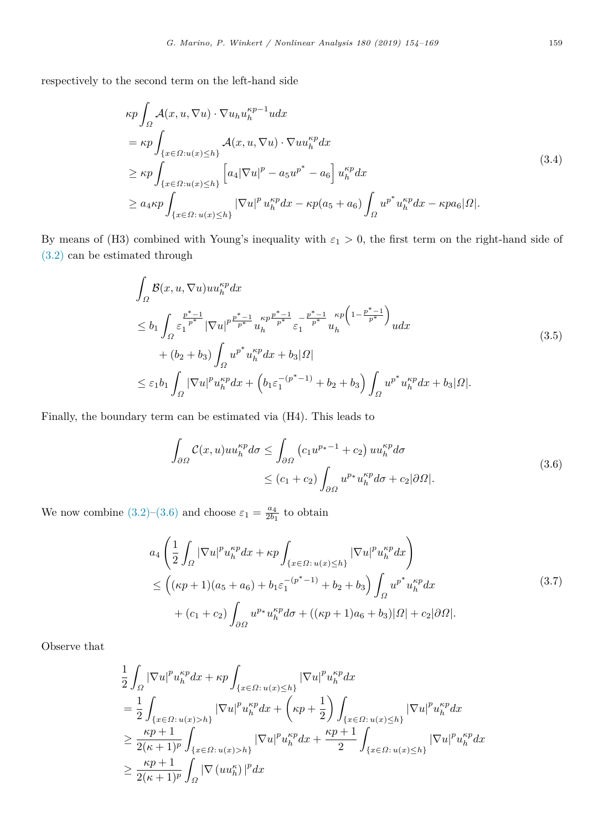respectively to the second term on the left-hand side

$$
\kappa p \int_{\Omega} \mathcal{A}(x, u, \nabla u) \cdot \nabla u_h u_h^{\kappa p-1} u dx
$$
  
\n
$$
= \kappa p \int_{\{x \in \Omega : u(x) \le h\}} \mathcal{A}(x, u, \nabla u) \cdot \nabla u u_h^{\kappa p} dx
$$
  
\n
$$
\ge \kappa p \int_{\{x \in \Omega : u(x) \le h\}} \left[ a_4 |\nabla u|^p - a_5 u^{p^*} - a_6 \right] u_h^{\kappa p} dx
$$
  
\n
$$
\ge a_4 \kappa p \int_{\{x \in \Omega : u(x) \le h\}} |\nabla u|^p u_h^{\kappa p} dx - \kappa p(a_5 + a_6) \int_{\Omega} u^{p^*} u_h^{\kappa p} dx - \kappa p a_6 |\Omega|.
$$
\n(3.4)

By means of (H3) combined with Young's inequality with  $\varepsilon_1 > 0$ , the first term on the right-hand side of ([3.2\)](#page-4-3) can be estimated through

$$
\int_{\Omega} \mathcal{B}(x, u, \nabla u)uu_h^{\kappa p}dx
$$
\n
$$
\leq b_1 \int_{\Omega} \frac{p^* - 1}{\varepsilon_1} |\nabla u|^{p} \frac{p^* - 1}{p^*} u_h^{\kappa p} \frac{p^{*} - 1}{p^*} \frac{1}{\varepsilon_1} \frac{p^* - 1}{p^*} u_h^{\kappa p} \left(1 - \frac{p^* - 1}{p^*}\right) u dx
$$
\n
$$
+ (b_2 + b_3) \int_{\Omega} u^{p^*} u_h^{\kappa p} dx + b_3 |\Omega|
$$
\n
$$
\leq \varepsilon_1 b_1 \int_{\Omega} |\nabla u|^{p} u_h^{\kappa p} dx + \left( b_1 \varepsilon_1^{-(p^* - 1)} + b_2 + b_3 \right) \int_{\Omega} u^{p^*} u_h^{\kappa p} dx + b_3 |\Omega|.
$$
\n(3.5)

Finally, the boundary term can be estimated via (H4). This leads to

<span id="page-5-1"></span><span id="page-5-0"></span>
$$
\int_{\partial\Omega} C(x, u)uu_h^{\kappa p}d\sigma \le \int_{\partial\Omega} \left(c_1 u^{p_*-1} + c_2\right)uu_h^{\kappa p}d\sigma
$$
\n
$$
\le (c_1 + c_2) \int_{\partial\Omega} u^{p_*}u_h^{\kappa p}d\sigma + c_2|\partial\Omega|.
$$
\n(3.6)

We now combine  $(3.2)$  $(3.2)$  $(3.2)$ – $(3.6)$  and choose  $\varepsilon_1 = \frac{a_4}{2b_1}$  to obtain

$$
a_4 \left( \frac{1}{2} \int_{\Omega} |\nabla u|^p u_h^{\kappa p} dx + \kappa p \int_{\{x \in \Omega : u(x) \le h\}} |\nabla u|^p u_h^{\kappa p} dx \right) \n\le \left( (\kappa p + 1)(a_5 + a_6) + b_1 \varepsilon_1^{-(p^* - 1)} + b_2 + b_3 \right) \int_{\Omega} u^{p^*} u_h^{\kappa p} dx \n+ (c_1 + c_2) \int_{\partial \Omega} u^{p*} u_h^{\kappa p} d\sigma + ((\kappa p + 1)a_6 + b_3) |\Omega| + c_2 |\partial \Omega|.
$$
\n(3.7)

Observe that

$$
\begin{split} &\frac{1}{2}\int_{\Omega}|\nabla u|^p u^{\kappa p}_h dx + \kappa p \int_{\{x\in\Omega:\,u(x)\leq h\}}|\nabla u|^p u^{\kappa p}_h dx \\ &= \frac{1}{2}\int_{\{x\in\Omega:\,u(x)>h\}}|\nabla u|^p u^{\kappa p}_h dx + \left(\kappa p + \frac{1}{2}\right) \int_{\{x\in\Omega:\,u(x)\leq h\}}|\nabla u|^p u^{\kappa p}_h dx \\ &\geq \frac{\kappa p + 1}{2(\kappa+1)^p} \int_{\{x\in\Omega:\,u(x)>h\}}|\nabla u|^p u^{\kappa p}_h dx + \frac{\kappa p + 1}{2} \int_{\{x\in\Omega:\,u(x)\leq h\}}|\nabla u|^p u^{\kappa p}_h dx \\ &\geq \frac{\kappa p + 1}{2(\kappa+1)^p} \int_{\Omega}|\nabla (u u^{\kappa}_h)|^p dx \end{split}
$$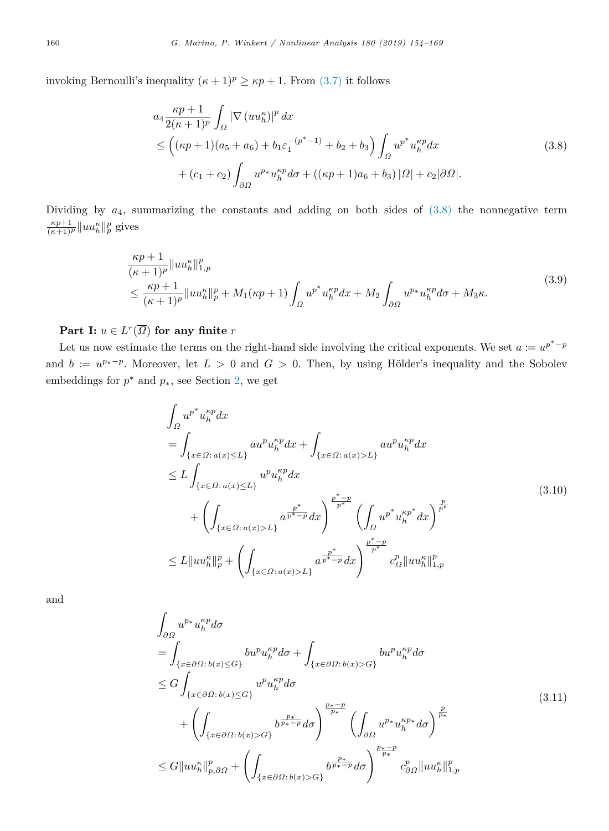invoking Bernoulli's inequality  $(\kappa + 1)^p \ge \kappa p + 1$ . From ([3.7](#page-5-1)) it follows

<span id="page-6-0"></span>
$$
a_4 \frac{\kappa p + 1}{2(\kappa + 1)^p} \int_{\Omega} |\nabla (u u_h^{\kappa})|^p dx
$$
  
\n
$$
\leq ((\kappa p + 1)(a_5 + a_6) + b_1 \varepsilon_1^{-(p^* - 1)} + b_2 + b_3) \int_{\Omega} u^{p^*} u_h^{\kappa p} dx
$$
  
\n
$$
+ (c_1 + c_2) \int_{\partial \Omega} u^{p*} u_h^{\kappa p} d\sigma + ((\kappa p + 1)a_6 + b_3) |\Omega| + c_2 |\partial \Omega|.
$$
\n(3.8)

Dividing by  $a_4$ , summarizing the constants and adding on both sides of  $(3.8)$  the nonnegative term  $\frac{\kappa p+1}{(\kappa+1)^p}$  ||*uu*<sup> $\kappa$ </sup><sub>*h*</sub> ||*p* gives

$$
\frac{\kappa p+1}{(\kappa+1)^p} \|u u_h^{\kappa}\|_{1,p}^p \n\leq \frac{\kappa p+1}{(\kappa+1)^p} \|u u_h^{\kappa}\|_p^p + M_1(\kappa p+1) \int_{\Omega} u^{p^*} u_h^{\kappa p} dx + M_2 \int_{\partial \Omega} u^{p*} u_h^{\kappa p} d\sigma + M_3 \kappa.
$$
\n(3.9)

 $\textbf{Part I: } u \in L^r(\overline{\Omega}) \textbf{ for any finite } r$ 

Let us now estimate the terms on the right-hand side involving the critical exponents. We set  $a := u^{p^* - p}$ and  $b := u^{p_*-p}$ . Moreover, let  $L > 0$  and  $G > 0$ . Then, by using Hölder's inequality and the Sobolev embeddings for  $p^*$  and  $p_*$ , see Section [2,](#page-2-0) we get

<span id="page-6-1"></span>
$$
\int_{\Omega} u^{p^*} u_h^{kp} dx
$$
\n
$$
= \int_{\{x \in \Omega : a(x) \le L\}} a u^p u_h^{kp} dx + \int_{\{x \in \Omega : a(x) > L\}} a u^p u_h^{kp} dx
$$
\n
$$
\le L \int_{\{x \in \Omega : a(x) \le L\}} u^p u_h^{kp} dx
$$
\n
$$
+ \left( \int_{\{x \in \Omega : a(x) > L\}} a^{\frac{p^*}{p^* - p}} dx \right)^{\frac{p^* - p}{p^*}} \left( \int_{\Omega} u^{p^*} u_h^{kp^*} dx \right)^{\frac{p}{p^*}}
$$
\n
$$
\le L \|u u_h^{k} \|_p^p + \left( \int_{\{x \in \Omega : a(x) > L\}} a^{\frac{p^*}{p^* - p}} dx \right)^{\frac{p^* - p}{p^*}} c_{\Omega}^p \|u u_h^{k} \|_{1, p}^p
$$
\n
$$
(3.10)
$$

and

$$
\int_{\partial\Omega} u^{p*} u_h^{\kappa p} d\sigma
$$
\n
$$
= \int_{\{x \in \partial\Omega : b(x) \le G\}} bu^{p} u_h^{\kappa p} d\sigma + \int_{\{x \in \partial\Omega : b(x) > G\}} bu^{p} u_h^{\kappa p} d\sigma
$$
\n
$$
\le G \int_{\{x \in \partial\Omega : b(x) \le G\}} u^{p} u_h^{\kappa p} d\sigma
$$
\n
$$
+ \left( \int_{\{x \in \partial\Omega : b(x) > G\}} b^{\frac{p*}{p*}} d\sigma \right)^{\frac{p_* - p}{p_*}} \left( \int_{\partial\Omega} u^{p*} u_h^{\kappa p*} d\sigma \right)^{\frac{p}{p*}}
$$
\n
$$
\le G \| u u_h^{\kappa} \|_{p, \partial\Omega}^p + \left( \int_{\{x \in \partial\Omega : b(x) > G\}} b^{\frac{p_*}{p_*}} d\sigma \right)^{\frac{p_* - p}{p_*}} c_{\partial\Omega}^p \| u u_h^{\kappa} \|_{1, p}^p
$$
\n(3.11)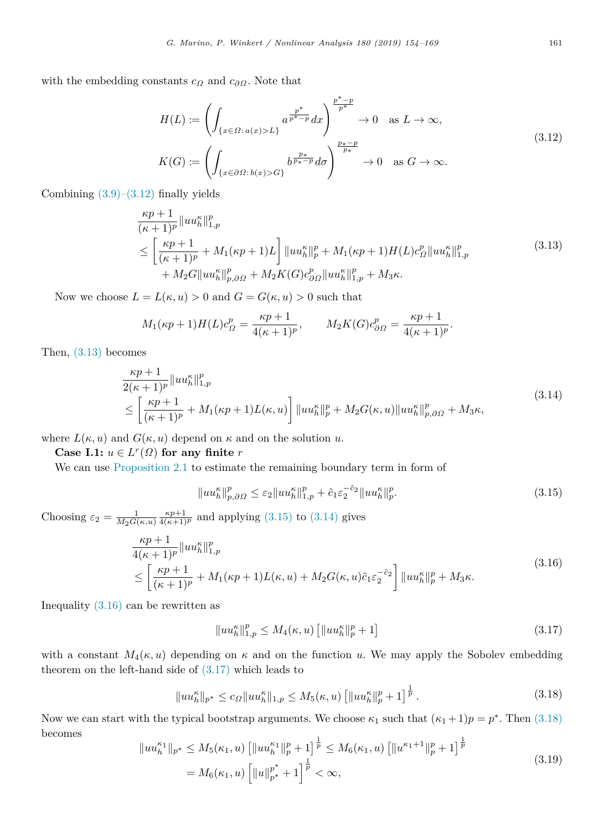with the embedding constants  $c_{\Omega}$  and  $c_{\partial\Omega}$ . Note that

<span id="page-7-0"></span>
$$
H(L) := \left( \int_{\{x \in \Omega : a(x) > L\}} a^{\frac{p^*}{p^*} - p} dx \right)^{\frac{p^* - p}{p^*}} \to 0 \quad \text{as } L \to \infty,
$$
\n
$$
K(G) := \left( \int_{\{x \in \partial\Omega : b(x) > G\}} b^{\frac{p_x}{p_x - p}} d\sigma \right)^{\frac{p_x - p}{p^*}} \to 0 \quad \text{as } G \to \infty.
$$
\n
$$
(3.12)
$$

Combining  $(3.9)$  $(3.9)$ – $(3.12)$  $(3.12)$  finally yields

<span id="page-7-1"></span>
$$
\frac{\kappa p+1}{(\kappa+1)^p} \|u u_h^{\kappa}\|_{1,p}^p
$$
\n
$$
\leq \left[\frac{\kappa p+1}{(\kappa+1)^p} + M_1(\kappa p+1)L\right] \|u u_h^{\kappa}\|_p^p + M_1(\kappa p+1) H(L) c_{\Omega}^p \|u u_h^{\kappa}\|_{1,p}^p \tag{3.13}
$$
\n
$$
+ M_2 G \|u u_h^{\kappa}\|_{p,\partial\Omega}^p + M_2 K(G) c_{\partial\Omega}^p \|u u_h^{\kappa}\|_{1,p}^p + M_3 \kappa.
$$

Now we choose  $L = L(\kappa, u) > 0$  and  $G = G(\kappa, u) > 0$  such that

$$
M_1(\kappa p + 1)H(L)c_{\Omega}^p = \frac{\kappa p + 1}{4(\kappa + 1)^p}, \qquad M_2K(G)c_{\partial\Omega}^p = \frac{\kappa p + 1}{4(\kappa + 1)^p}.
$$

Then, ([3.13](#page-7-1)) becomes

$$
\frac{\kappa p + 1}{2(\kappa + 1)^p} \|u u_h^{\kappa}\|_{1,p}^p
$$
\n
$$
\leq \left[\frac{\kappa p + 1}{(\kappa + 1)^p} + M_1(\kappa p + 1) L(\kappa, u)\right] \|u u_h^{\kappa}\|_p^p + M_2 G(\kappa, u) \|u u_h^{\kappa}\|_{p, \partial \Omega}^p + M_3 \kappa,
$$
\n(3.14)

where  $L(\kappa, u)$  and  $G(\kappa, u)$  depend on  $\kappa$  and on the solution *u*.

**Case I.1:**  $u \in L^r(\Omega)$  for any finite *r* 

We can use [Proposition](#page-2-2) [2.1](#page-2-2) to estimate the remaining boundary term in form of

<span id="page-7-3"></span><span id="page-7-2"></span>
$$
||uu_h^{\kappa}||_{p,\partial\Omega}^p \leq \varepsilon_2||uu_h^{\kappa}||_{1,p}^p + \tilde{c}_1\varepsilon_2^{-\tilde{c}_2}||uu_h^{\kappa}||_p^p. \tag{3.15}
$$

Choosing  $\varepsilon_2 = \frac{1}{M_2 G(\kappa, u)} \frac{\kappa p + 1}{4(\kappa + 1)^p}$  and applying [\(3.15\)](#page-7-2) to ([3.14\)](#page-7-3) gives

$$
\frac{\kappa p + 1}{4(\kappa + 1)^p} \|u u_h^{\kappa}\|_{1,p}^p
$$
\n
$$
\leq \left[\frac{\kappa p + 1}{(\kappa + 1)^p} + M_1(\kappa p + 1)L(\kappa, u) + M_2 G(\kappa, u)\tilde{c}_1 \varepsilon_2^{-\tilde{c}_2}\right] \|u u_h^{\kappa}\|_p^p + M_3 \kappa.
$$
\n(3.16)

Inequality  $(3.16)$  $(3.16)$  can be rewritten as

<span id="page-7-7"></span><span id="page-7-6"></span><span id="page-7-5"></span><span id="page-7-4"></span>
$$
||uu_h^{\kappa}||_{1,p}^p \le M_4(\kappa, u) [||uu_h^{\kappa}||_p^p + 1]
$$
\n(3.17)

with a constant  $M_4(\kappa, u)$  depending on  $\kappa$  and on the function *u*. We may apply the Sobolev embedding theorem on the left-hand side of  $(3.17)$  which leads to

$$
||uu_h^{\kappa}||_{p^*} \le c_{\Omega}||uu_h^{\kappa}||_{1,p} \le M_5(\kappa, u) \left[||uu_h^{\kappa}||_p^p + 1\right]^{\frac{1}{p}}.
$$
\n(3.18)

Now we can start with the typical bootstrap arguments. We choose  $\kappa_1$  such that  $(\kappa_1 + 1)p = p^*$ . Then ([3.18](#page-7-6)) becomes

$$
||uu_h^{\kappa_1}||_{p^*} \le M_5(\kappa_1, u) \left[||uu_h^{\kappa_1}||_p^p + 1\right]^{\frac{1}{p}} \le M_6(\kappa_1, u) \left[||u^{\kappa_1+1}||_p^p + 1\right]^{\frac{1}{p}}
$$
  
=  $M_6(\kappa_1, u) \left[||u||_{p^*}^{p^*} + 1\right]^{\frac{1}{p}} < \infty,$  (3.19)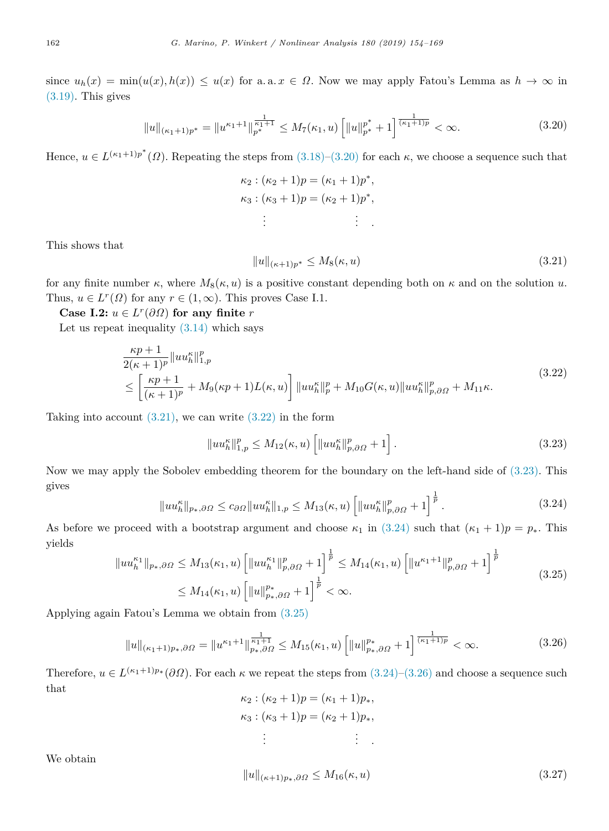since  $u_h(x) = \min(u(x), h(x)) \le u(x)$  for a. a.  $x \in \Omega$ . Now we may apply Fatou's Lemma as  $h \to \infty$  in ([3.19\)](#page-7-7). This gives

$$
||u||_{(\kappa_1+1)p^*} = ||u^{\kappa_1+1}||_{p^*}^{\frac{1}{\kappa_1+1}} \le M_7(\kappa_1, u) \left[ ||u||_{p^*}^{p^*} + 1 \right]^{\frac{1}{(\kappa_1+1)p}} < \infty.
$$
\n(3.20)

Hence,  $u \in L^{(\kappa_1+1)p^*}(\Omega)$ . Repeating the steps from  $(3.18)-(3.20)$  $(3.18)-(3.20)$  $(3.18)-(3.20)$  $(3.18)-(3.20)$  $(3.18)-(3.20)$  for each  $\kappa$ , we choose a sequence such that

<span id="page-8-0"></span> $\kappa_2$  :  $(\kappa_2 + 1)p = (\kappa_1 + 1)p^*$ ,  $\kappa_3$  :  $(\kappa_3 + 1)p = (\kappa_2 + 1)p^*$ , . . . . . . *.*

This shows that

<span id="page-8-2"></span><span id="page-8-1"></span>
$$
||u||_{(\kappa+1)p^*} \le M_8(\kappa, u) \tag{3.21}
$$

for any finite number  $\kappa$ , where  $M_8(\kappa, u)$  is a positive constant depending both on  $\kappa$  and on the solution *u*. Thus,  $u \in L^r(\Omega)$  for any  $r \in (1,\infty)$ . This proves Case I.1.

**Case I.2:**  $u \in L^r(\partial\Omega)$  for any finite *r* 

Let us repeat inequality  $(3.14)$  $(3.14)$  $(3.14)$  which says

$$
\frac{\kappa p + 1}{2(\kappa + 1)^p} \|u u_h^{\kappa}\|_{1,p}^p
$$
\n
$$
\leq \left[\frac{\kappa p + 1}{(\kappa + 1)^p} + M_9(\kappa p + 1)L(\kappa, u)\right] \|u u_h^{\kappa}\|_p^p + M_{10} G(\kappa, u) \|u u_h^{\kappa}\|_{p,\partial\Omega}^p + M_{11}\kappa.
$$
\n(3.22)

Taking into account  $(3.21)$ , we can write  $(3.22)$  $(3.22)$  in the form

<span id="page-8-4"></span><span id="page-8-3"></span>
$$
||uu_h^{\kappa}||_{1,p}^p \le M_{12}(\kappa, u) \left[||uu_h^{\kappa}||_{p,\partial\Omega}^p + 1\right].
$$
\n(3.23)

Now we may apply the Sobolev embedding theorem for the boundary on the left-hand side of ([3.23\)](#page-8-3). This gives

$$
||uu_h^{\kappa}||_{p_*,\partial\Omega} \le c_{\partial\Omega}||uu_h^{\kappa}||_{1,p} \le M_{13}(\kappa, u) \left[||uu_h^{\kappa}||_{p,\partial\Omega}^p + 1\right]^{\frac{1}{p}}.
$$
\n(3.24)

As before we proceed with a bootstrap argument and choose  $\kappa_1$  in ([3.24\)](#page-8-4) such that  $(\kappa_1 + 1)p = p_*$ . This yields

$$
||uu_h^{\kappa_1}||_{p_*,\partial\Omega} \le M_{13}(\kappa_1, u) \left[||uu_h^{\kappa_1}||_{p,\partial\Omega}^p + 1\right]^{\frac{1}{p}} \le M_{14}(\kappa_1, u) \left[||u^{\kappa_1+1}||_{p,\partial\Omega}^p + 1\right]^{\frac{1}{p}} \le M_{14}(\kappa_1, u) \left[||u||_{p_*,\partial\Omega}^{p_*} + 1\right]^{\frac{1}{p}} < \infty.
$$
\n(3.25)

Applying again Fatou's Lemma we obtain from ([3.25](#page-8-5))

$$
||u||_{(\kappa_1+1)p_*,\partial\Omega} = ||u^{\kappa_1+1}||_{p_*,\partial\Omega}^{\frac{1}{\kappa_1+1}} \le M_{15}(\kappa_1,u) \left[||u||_{p_*,\partial\Omega}^{p_*} + 1\right]^{\frac{1}{(\kappa_1+1)p}} < \infty.
$$
 (3.26)

Therefore,  $u \in L^{(\kappa_1+1)p_*}(\partial\Omega)$ . For each  $\kappa$  we repeat the steps from  $(3.24)-(3.26)$  $(3.24)-(3.26)$  $(3.24)-(3.26)$  $(3.24)-(3.26)$  and choose a sequence such that

<span id="page-8-6"></span><span id="page-8-5"></span>
$$
\kappa_2 : (\kappa_2 + 1)p = (\kappa_1 + 1)p_*,\n\kappa_3 : (\kappa_3 + 1)p = (\kappa_2 + 1)p_*,\n\vdots \qquad \vdots
$$

We obtain

<span id="page-8-7"></span>
$$
||u||_{(\kappa+1)p_*,\partial\Omega} \le M_{16}(\kappa, u)
$$
\n(3.27)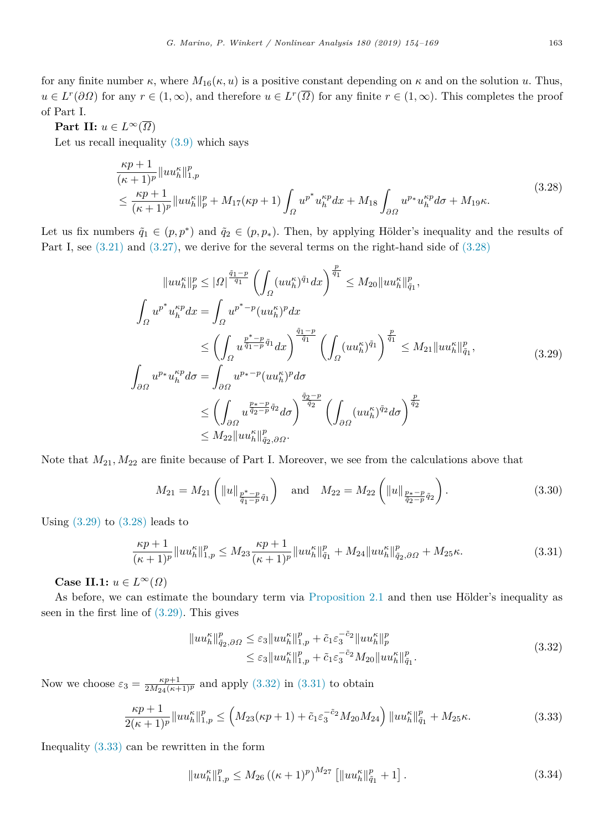for any finite number  $\kappa$ , where  $M_{16}(\kappa, u)$  is a positive constant depending on  $\kappa$  and on the solution *u*. Thus,  $u \in L^r(\partial\Omega)$  for any  $r \in (1,\infty)$ , and therefore  $u \in L^r(\overline{\Omega})$  for any finite  $r \in (1,\infty)$ . This completes the proof of Part I.

## **Part II:**  $u \in L^{\infty}(\overline{\Omega})$

Let us recall inequality  $(3.9)$  which says

$$
\frac{\kappa p+1}{(\kappa+1)^p} \|u u_h^{\kappa}\|_{1,p}^p
$$
\n
$$
\leq \frac{\kappa p+1}{(\kappa+1)^p} \|u u_h^{\kappa}\|_p^p + M_{17}(\kappa p+1) \int_{\Omega} u^{p^*} u_h^{\kappa p} dx + M_{18} \int_{\partial \Omega} u^{p^*} u_h^{\kappa p} d\sigma + M_{19} \kappa.
$$
\n(3.28)

Let us fix numbers  $\tilde{q}_1 \in (p, p^*)$  and  $\tilde{q}_2 \in (p, p_*)$ . Then, by applying Hölder's inequality and the results of Part I, see  $(3.21)$  and  $(3.27)$ , we derive for the several terms on the right-hand side of  $(3.28)$  $(3.28)$ 

<span id="page-9-0"></span>
$$
||uu_h^{\kappa}||_p^p \leq |\Omega|^{\frac{\tilde{q}_1-p}{\tilde{q}_1}} \left( \int_{\Omega} (uu_h^{\kappa})^{\tilde{q}_1} dx \right)^{\frac{p}{\tilde{q}_1}} \leq M_{20} ||uu_h^{\kappa}||_{\tilde{q}_1}^p,
$$
  

$$
\int_{\Omega} u^{p^*} u_h^{\kappa p} dx = \int_{\Omega} u^{p^* - p} (uu_h^{\kappa})^p dx
$$
  

$$
\leq \left( \int_{\Omega} u^{\frac{p^* - p}{\tilde{q}_1}} dx \right)^{\frac{\tilde{q}_1 - p}{\tilde{q}_1}} \left( \int_{\Omega} (uu_h^{\kappa})^{\tilde{q}_1} \right)^{\frac{p}{\tilde{q}_1}} \leq M_{21} ||uu_h^{\kappa}||_{\tilde{q}_1}^p,
$$
  

$$
\int_{\partial \Omega} u^{p*} u_h^{\kappa p} d\sigma = \int_{\partial \Omega} u^{p* - p} (uu_h^{\kappa})^p d\sigma
$$
  

$$
\leq \left( \int_{\partial \Omega} u^{\frac{p* - p}{\tilde{q}_2}} d\sigma \right)^{\frac{\tilde{q}_2 - p}{\tilde{q}_2}} \left( \int_{\partial \Omega} (uu_h^{\kappa})^{\tilde{q}_2} d\sigma \right)^{\frac{p}{\tilde{q}_2}}
$$
  

$$
\leq M_{22} ||uu_h^{\kappa}||_{\tilde{q}_2, \partial \Omega}^p.
$$
  
(3.29)

Note that *M*21*, M*<sup>22</sup> are finite because of Part I. Moreover, we see from the calculations above that

<span id="page-9-1"></span>
$$
M_{21} = M_{21} \left( \|u\|_{\frac{p^* - p}{\tilde{q}_1 - p} \tilde{q}_1} \right) \quad \text{and} \quad M_{22} = M_{22} \left( \|u\|_{\frac{p_* - p}{\tilde{q}_2 - p} \tilde{q}_2} \right). \tag{3.30}
$$

Using  $(3.29)$  $(3.29)$  to  $(3.28)$  $(3.28)$  leads to

$$
\frac{\kappa p+1}{(\kappa+1)^p} \|u u_h^{\kappa}\|_{1,p}^p \le M_{23} \frac{\kappa p+1}{(\kappa+1)^p} \|u u_h^{\kappa}\|_{\tilde{q}_1}^p + M_{24} \|u u_h^{\kappa}\|_{\tilde{q}_2,\partial\Omega}^p + M_{25}\kappa. \tag{3.31}
$$

**Case II.1:**  $u \in L^{\infty}(\Omega)$ 

As before, we can estimate the boundary term via [Proposition](#page-2-2) [2.1](#page-2-2) and then use Hölder's inequality as seen in the first line of  $(3.29)$  $(3.29)$ . This gives

<span id="page-9-6"></span><span id="page-9-3"></span><span id="page-9-2"></span>
$$
||uu_h^{\kappa}||_{\tilde{q}_2,\partial\Omega}^p \leq \varepsilon_3 ||uu_h^{\kappa}||_{1,p}^p + \tilde{c}_1 \varepsilon_3^{-\tilde{c}_2} ||uu_h^{\kappa}||_p^p
$$
  

$$
\leq \varepsilon_3 ||uu_h^{\kappa}||_{1,p}^p + \tilde{c}_1 \varepsilon_3^{-\tilde{c}_2} M_{20} ||uu_h^{\kappa}||_q^p.
$$
 (3.32)

Now we choose  $\varepsilon_3 = \frac{\kappa p + 1}{2M_{24}(\kappa + 1)^p}$  and apply [\(3.32](#page-9-2)) in ([3.31](#page-9-3)) to obtain

$$
\frac{\kappa p+1}{2(\kappa+1)^p} \|u u_h^{\kappa}\|_{1,p}^p \le \left(M_{23}(\kappa p+1) + \tilde{c}_1 \varepsilon_3^{-\tilde{c}_2} M_{20} M_{24}\right) \|u u_h^{\kappa}\|_{\tilde{q}_1}^p + M_{25} \kappa. \tag{3.33}
$$

Inequality ([3.33\)](#page-9-4) can be rewritten in the form

<span id="page-9-5"></span><span id="page-9-4"></span>
$$
||uu_h^{\kappa}||_{1,p}^p \le M_{26} \left( (\kappa+1)^p \right)^{M_{27}} \left[ ||uu_h^{\kappa}||_{\tilde{q}_1}^p + 1 \right]. \tag{3.34}
$$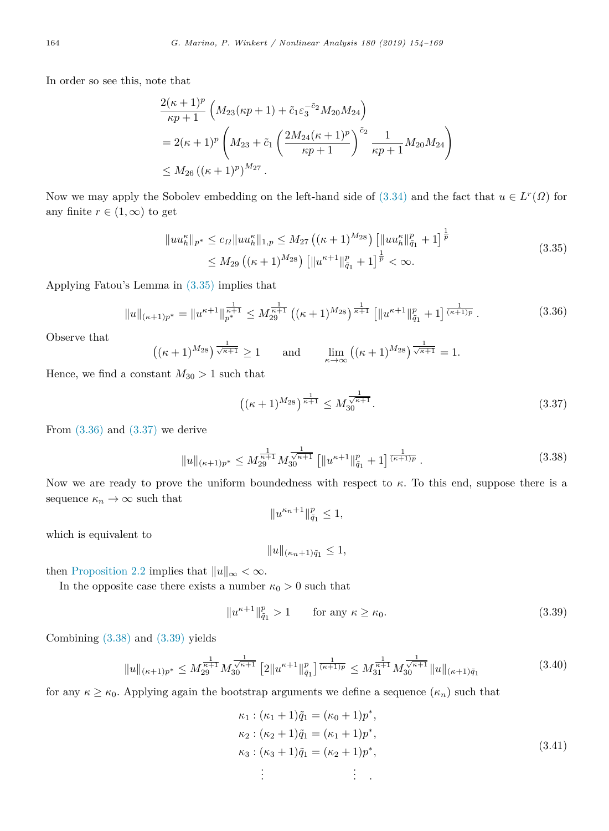In order so see this, note that

$$
\frac{2(\kappa+1)^p}{\kappa p+1} \left( M_{23}(\kappa p+1) + \tilde{c}_1 \varepsilon_3^{-\tilde{c}_2} M_{20} M_{24} \right)
$$
  
=  $2(\kappa+1)^p \left( M_{23} + \tilde{c}_1 \left( \frac{2M_{24}(\kappa+1)^p}{\kappa p+1} \right)^{\tilde{c}_2} \frac{1}{\kappa p+1} M_{20} M_{24} \right)$   
 $\leq M_{26} \left( (\kappa+1)^p \right)^{M_{27}}.$ 

Now we may apply the Sobolev embedding on the left-hand side of  $(3.34)$  $(3.34)$  $(3.34)$  and the fact that  $u \in L^r(\Omega)$  for any finite  $r \in (1, \infty)$  to get

$$
||uu_h^{\kappa}||_{p^*} \le c_{\Omega}||uu_h^{\kappa}||_{1,p} \le M_{27} ((\kappa+1)^{M_{28}}) [||uu_h^{\kappa}||_{\tilde{q}_1}^p + 1]^{\frac{1}{p}} \le M_{29} ((\kappa+1)^{M_{28}}) [||u^{\kappa+1}||_{\tilde{q}_1}^p + 1]^{\frac{1}{p}} < \infty.
$$
\n(3.35)

Applying Fatou's Lemma in [\(3.35\)](#page-10-0) implies that

$$
||u||_{(\kappa+1)p^*} = ||u^{\kappa+1}||_{p^*}^{\frac{1}{\kappa+1}} \le M_{29}^{\frac{1}{\kappa+1}} \left( (\kappa+1)^{M_{28}} \right)^{\frac{1}{\kappa+1}} \left[ ||u^{\kappa+1}||_{\tilde{q}_1}^p + 1 \right]^{\frac{1}{(\kappa+1)p}}.
$$
 (3.36)

Observe that

$$
((\kappa+1)^{M_{28}})^{\frac{1}{\sqrt{\kappa+1}}} \ge 1 \quad \text{and} \quad \lim_{\kappa \to \infty} ((\kappa+1)^{M_{28}})^{\frac{1}{\sqrt{\kappa+1}}} = 1.
$$

Hence, we find a constant  $M_{30} > 1$  such that

<span id="page-10-1"></span><span id="page-10-0"></span>
$$
\left( (\kappa + 1)^{M_{28}} \right)^{\frac{1}{\kappa + 1}} \le M_{30}^{\frac{1}{\sqrt{\kappa + 1}}}.
$$
\n(3.37)

From  $(3.36)$  and  $(3.37)$  we derive

$$
||u||_{(\kappa+1)p^{*}} \le M_{29}^{\frac{1}{\kappa+1}} M_{30}^{\frac{1}{\sqrt{\kappa+1}}} \left[ ||u^{\kappa+1}||_{\tilde{q}_1}^p + 1 \right]^{\frac{1}{(\kappa+1)p}}.
$$
\n(3.38)

Now we are ready to prove the uniform boundedness with respect to *κ*. To this end, suppose there is a sequence  $\kappa_n \to \infty$  such that

<span id="page-10-3"></span><span id="page-10-2"></span>
$$
||u^{\kappa_n+1}||_{\tilde{q}_1}^p\leq 1,
$$

which is equivalent to

<span id="page-10-5"></span><span id="page-10-4"></span>
$$
||u||_{(\kappa_n+1)\tilde{q}_1} \le 1,
$$

then [Proposition](#page-3-2) [2.2](#page-3-2) implies that  $||u||_{\infty} < \infty$ .

In the opposite case there exists a number  $\kappa_0 > 0$  such that

$$
||u^{\kappa+1}||_{\tilde{q}_1}^p > 1 \qquad \text{for any } \kappa \ge \kappa_0. \tag{3.39}
$$

Combining ([3.38](#page-10-3)) and ([3.39](#page-10-4)) yields

$$
||u||_{(\kappa+1)p^{*}} \le M_{29}^{\frac{1}{\kappa+1}} M_{30}^{\frac{1}{\sqrt{\kappa+1}}} \left[2||u^{\kappa+1}||_{\tilde{q}_1}^p\right]^{\frac{1}{(\kappa+1)p}} \le M_{31}^{\frac{1}{\kappa+1}} M_{30}^{\frac{1}{\sqrt{\kappa+1}}} ||u||_{(\kappa+1)\tilde{q}_1} \tag{3.40}
$$

for any  $\kappa \geq \kappa_0$ . Applying again the bootstrap arguments we define a sequence  $(\kappa_n)$  such that

<span id="page-10-6"></span>
$$
\kappa_1: (\kappa_1 + 1)\tilde{q}_1 = (\kappa_0 + 1)p^*,\n\kappa_2: (\kappa_2 + 1)\tilde{q}_1 = (\kappa_1 + 1)p^*,\n\kappa_3: (\kappa_3 + 1)\tilde{q}_1 = (\kappa_2 + 1)p^*,\n\vdots \qquad \vdots
$$
\n(3.41)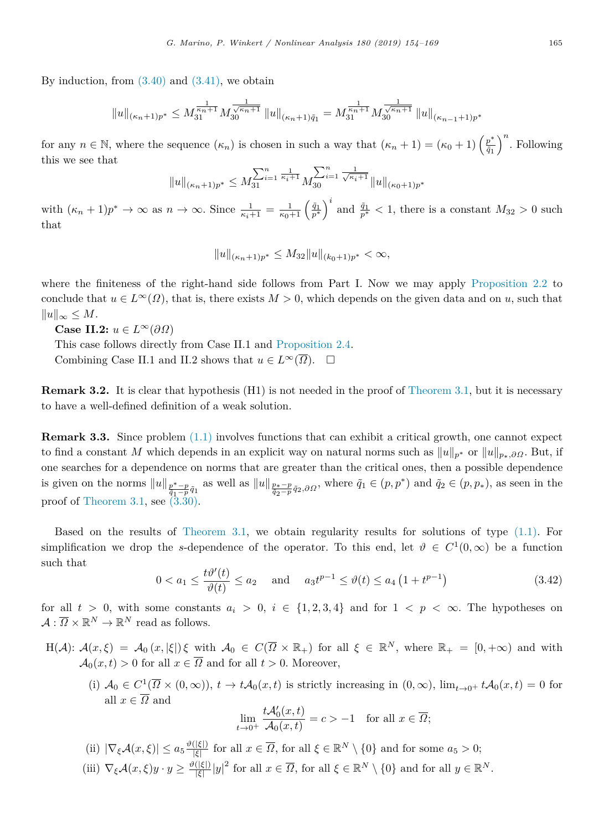By induction, from  $(3.40)$  $(3.40)$  and  $(3.41)$ , we obtain

$$
||u||_{(\kappa_n+1)p^*} \leq M_{31}^{\frac{1}{\kappa_n+1}}M_{30}^{\frac{1}{\sqrt{\kappa_n+1}}} ||u||_{(\kappa_n+1)\tilde{q}_1} = M_{31}^{\frac{1}{\kappa_n+1}}M_{30}^{\frac{1}{\sqrt{\kappa_n+1}}} ||u||_{(\kappa_{n-1}+1)p^*}
$$

for any  $n \in \mathbb{N}$ , where the sequence  $(\kappa_n)$  is chosen in such a way that  $(\kappa_n + 1) = (\kappa_0 + 1) \left(\frac{p^*}{\tilde{a}_1}\right)$  $\left(\frac{p^*}{\tilde{q}_1}\right)^n$ . Following this we see that

$$
||u||_{(\kappa_n+1)p^*} \le M_{31}^{\sum_{i=1}^n \frac{1}{\kappa_i+1}} M_{30}^{\sum_{i=1}^n \frac{1}{\sqrt{\kappa_i+1}}} ||u||_{(\kappa_0+1)p^*}
$$

with  $(\kappa_n + 1)p^* \to \infty$  as  $n \to \infty$ . Since  $\frac{1}{\kappa_i+1} = \frac{1}{\kappa_0+1} \left(\frac{\tilde{q}_1}{p^*}\right)^i$  and  $\frac{\tilde{q}_1}{p^*} < 1$ , there is a constant  $M_{32} > 0$  such that

$$
||u||_{(\kappa_n+1)p^*} \leq M_{32}||u||_{(k_0+1)p^*} < \infty,
$$

where the finiteness of the right-hand side follows from Part I. Now we may apply [Proposition](#page-3-2) [2.2](#page-3-2) to conclude that  $u \in L^{\infty}(\Omega)$ , that is, there exists  $M > 0$ , which depends on the given data and on *u*, such that ∥*u*∥<sup>∞</sup> ≤ *M*.

**Case II.2:**  $u \in L^{\infty}(\partial\Omega)$ 

This case follows directly from Case II.1 and [Proposition](#page-3-0) [2.4](#page-3-0). Combining Case II.1 and II.2 shows that  $u \in L^{\infty}(\overline{\Omega})$ .  $\square$ 

**Remark 3.2.** It is clear that hypothesis (H1) is not needed in the proof of [Theorem](#page-4-1) [3.1](#page-4-1), but it is necessary to have a well-defined definition of a weak solution.

**Remark 3.3.** Since problem  $(1.1)$  involves functions that can exhibit a critical growth, one cannot expect to find a constant *M* which depends in an explicit way on natural norms such as ∥*u*∥*p*<sup>∗</sup> or ∥*u*∥*p*∗*,∂*<sup>Ω</sup> . But, if one searches for a dependence on norms that are greater than the critical ones, then a possible dependence is given on the norms ∥*u*∥ *<sup>p</sup>*∗−*<sup>p</sup>*  $\frac{p^* - p}{q_1 - p} q_1$  as well as  $||u||_{\frac{p_* - p}{q_2 - p} \tilde{q}_2, \partial \Omega}$ , where  $\tilde{q}_1 \in (p, p^*)$  and  $\tilde{q}_2 \in (p, p_*)$ , as seen in the proof of [Theorem](#page-4-1) [3.1](#page-4-1), see  $(3.30)$ .

Based on the results of [Theorem](#page-4-1) [3.1](#page-4-1), we obtain regularity results for solutions of type ([1.1](#page-0-4)). For simplification we drop the *s*-dependence of the operator. To this end, let  $\vartheta \in C^1(0,\infty)$  be a function such that

$$
0 < a_1 \le \frac{t\vartheta'(t)}{\vartheta(t)} \le a_2 \quad \text{and} \quad a_3 t^{p-1} \le \vartheta(t) \le a_4 \left(1 + t^{p-1}\right) \tag{3.42}
$$

for all  $t > 0$ , with some constants  $a_i > 0$ ,  $i \in \{1, 2, 3, 4\}$  and for  $1 < p < \infty$ . The hypotheses on  $\mathcal{A}: \overline{\Omega} \times \mathbb{R}^N \to \mathbb{R}^N$  read as follows.

- $H(\mathcal{A})$ :  $\mathcal{A}(x,\xi) = \mathcal{A}_0(x,|\xi|) \xi$  with  $\mathcal{A}_0 \in C(\overline{\Omega} \times \mathbb{R}_+)$  for all  $\xi \in \mathbb{R}^N$ , where  $\mathbb{R}_+ = [0,+\infty)$  and with  $\mathcal{A}_0(x,t) > 0$  for all  $x \in \overline{\Omega}$  and for all  $t > 0$ . Moreover,
	- (i)  $A_0 \in C^1(\overline{\Omega} \times (0,\infty))$ ,  $t \to tA_0(x,t)$  is strictly increasing in  $(0,\infty)$ ,  $\lim_{t\to 0^+} tA_0(x,t) = 0$  for all  $x \in \overline{\Omega}$  and

<span id="page-11-0"></span>
$$
\lim_{t \to 0^+} \frac{t\mathcal{A}_0'(x,t)}{\mathcal{A}_0(x,t)} = c > -1 \quad \text{for all } x \in \overline{\Omega};
$$

- $\left| \nabla_{\xi} \mathcal{A}(x,\xi) \right| \leq a_5 \frac{\vartheta(|\xi|)}{|\xi|}$  $\frac{(|\xi|)}{|\xi|}$  for all  $x \in \overline{\Omega}$ , for all  $\xi \in \mathbb{R}^N \setminus \{0\}$  and for some  $a_5 > 0$ ;
- (iii)  $\nabla_{\xi} \mathcal{A}(x,\xi) y \cdot y \geq \frac{\vartheta(|\xi|)}{|\xi|}$  $\frac{(|\xi|)}{|\xi|}|y|^2$  for all  $x \in \overline{\Omega}$ , for all  $\xi \in \mathbb{R}^N \setminus \{0\}$  and for all  $y \in \mathbb{R}^N$ .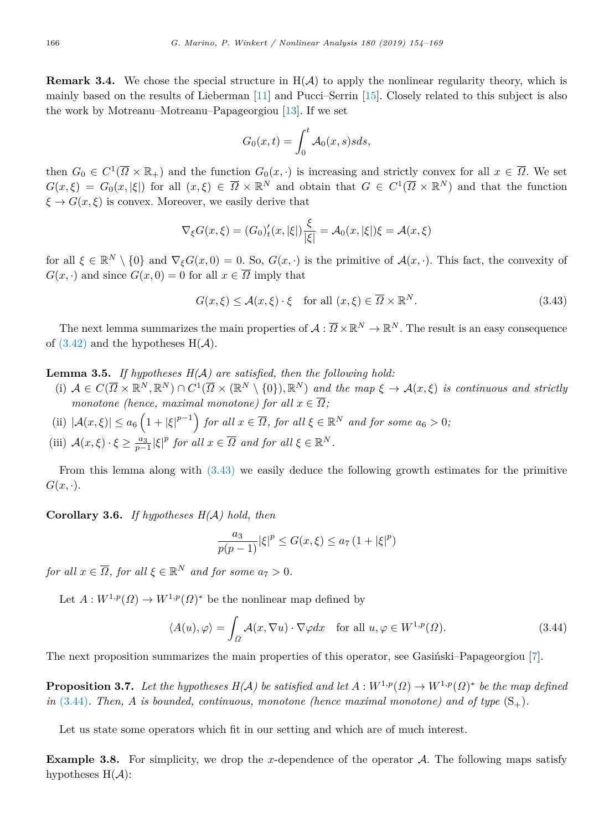**Remark 3.4.** We chose the special structure in  $H(A)$  to apply the nonlinear regularity theory, which is mainly based on the results of Lieberman [[11\]](#page-14-12) and Pucci–Serrin [[15\]](#page-14-14). Closely related to this subject is also the work by Motreanu–Motreanu–Papageorgiou [\[13](#page-14-15)]. If we set

<span id="page-12-0"></span>
$$
G_0(x,t) = \int_0^t \mathcal{A}_0(x,s)sds,
$$

then  $G_0 \in C^1(\overline{\Omega} \times \mathbb{R}_+)$  and the function  $G_0(x, \cdot)$  is increasing and strictly convex for all  $x \in \overline{\Omega}$ . We set  $G(x,\xi) = G_0(x,|\xi|)$  for all  $(x,\xi) \in \overline{\Omega} \times \mathbb{R}^N$  and obtain that  $G \in C^1(\overline{\Omega} \times \mathbb{R}^N)$  and that the function  $\xi \to G(x,\xi)$  is convex. Moreover, we easily derive that

$$
\nabla_{\xi} G(x,\xi) = (G_0)'_t(x,|\xi|) \frac{\xi}{|\xi|} = \mathcal{A}_0(x,|\xi|) \xi = \mathcal{A}(x,\xi)
$$

for all  $\xi \in \mathbb{R}^N \setminus \{0\}$  and  $\nabla_{\xi} G(x, 0) = 0$ . So,  $G(x, \cdot)$  is the primitive of  $\mathcal{A}(x, \cdot)$ . This fact, the convexity of  $G(x, \cdot)$  and since  $G(x, 0) = 0$  for all  $x \in \overline{\Omega}$  imply that

$$
G(x,\xi) \le \mathcal{A}(x,\xi) \cdot \xi \quad \text{for all } (x,\xi) \in \overline{\Omega} \times \mathbb{R}^N. \tag{3.43}
$$

The next lemma summarizes the main properties of  $A: \overline{\Omega} \times \mathbb{R}^N \to \mathbb{R}^N$ . The result is an easy consequence of  $(3.42)$  $(3.42)$  and the hypotheses  $H(A)$ .

**Lemma 3.5.** *If hypotheses H(*A*) are satisfied, then the following hold:*

- (i)  $A \in C(\overline{\Omega} \times \mathbb{R}^N, \mathbb{R}^N) \cap C^1(\overline{\Omega} \times (\mathbb{R}^N \setminus \{0\}), \mathbb{R}^N)$  and the map  $\xi \to A(x, \xi)$  is continuous and strictly *monotone (hence, maximal monotone) for all*  $x \in \overline{\Omega}$ ;
- (ii)  $|\mathcal{A}(x,\xi)| \le a_6 \left(1 + |\xi|^{p-1}\right)$  *for all*  $x \in \overline{\Omega}$ *, for all*  $\xi \in \mathbb{R}^N$  *and for some*  $a_6 > 0$ *;*
- (iii)  $\mathcal{A}(x,\xi) \cdot \xi \geq \frac{a_3}{p-1} |\xi|^p$  *for all*  $x \in \overline{\Omega}$  *and for all*  $\xi \in \mathbb{R}^N$ *.*

From this lemma along with ([3.43\)](#page-12-0) we easily deduce the following growth estimates for the primitive  $G(x, \cdot).$ 

**Corollary 3.6.** *If hypotheses H(*A*) hold, then*

<span id="page-12-1"></span>
$$
\frac{a_3}{p(p-1)}|\xi|^p \le G(x,\xi) \le a_7 (1+|\xi|^p)
$$

*for all*  $x \in \overline{\Omega}$ *, for all*  $\xi \in \mathbb{R}^N$  *and for some*  $a_7 > 0$ *.* 

Let  $A: W^{1,p}(\Omega) \to W^{1,p}(\Omega)^*$  be the nonlinear map defined by

$$
\langle A(u), \varphi \rangle = \int_{\Omega} \mathcal{A}(x, \nabla u) \cdot \nabla \varphi dx \quad \text{for all } u, \varphi \in W^{1, p}(\Omega). \tag{3.44}
$$

The next proposition summarizes the main properties of this operator, see Gasingsi-Papageorgiou [[7\]](#page-14-16).

**Proposition 3.7.** Let the hypotheses  $H(A)$  be satisfied and let  $A: W^{1,p}(\Omega) \to W^{1,p}(\Omega)^*$  be the map defined  $in (3.44)$  $in (3.44)$ . Then, A is bounded, continuous, monotone (hence maximal monotone) and of type  $(S_+)$ .

Let us state some operators which fit in our setting and which are of much interest.

**Example 3.8.** For simplicity, we drop the *x*-dependence of the operator  $A$ . The following maps satisfy hypotheses  $H(A)$ :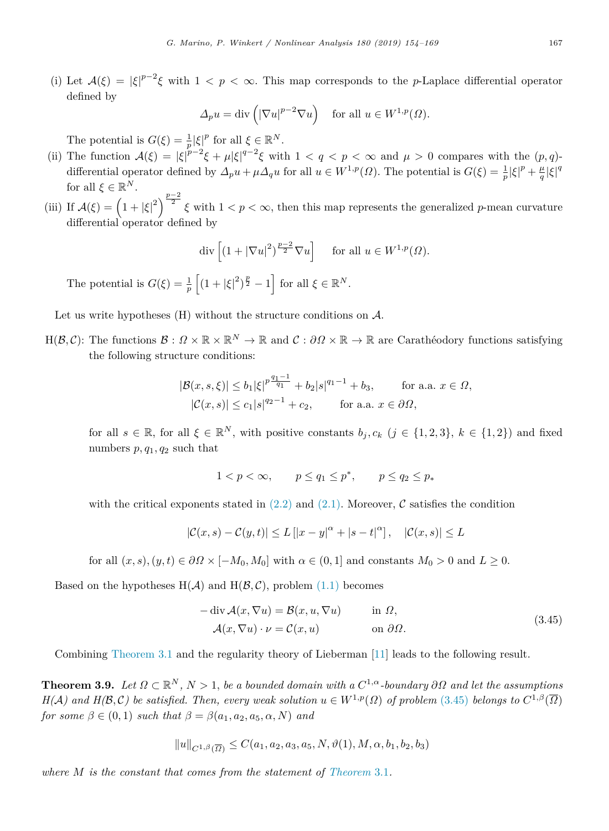(i) Let  $A(\xi) = |\xi|^{p-2}\xi$  with  $1 < p < \infty$ . This map corresponds to the *p*-Laplace differential operator defined by

$$
\Delta_p u = \text{div}\left( |\nabla u|^{p-2} \nabla u \right) \quad \text{for all } u \in W^{1,p}(\Omega).
$$

The potential is  $G(\xi) = \frac{1}{p} |\xi|^p$  for all  $\xi \in \mathbb{R}^N$ .

- (ii) The function  $\mathcal{A}(\xi) = |\xi|^{p-2}\xi + \mu |\xi|^{q-2}\xi$  with  $1 < q < p < \infty$  and  $\mu > 0$  compares with the  $(p,q)$ differential operator defined by  $\Delta_p u + \mu \Delta_q u$  for all  $u \in W^{1,p}(\Omega)$ . The potential is  $G(\xi) = \frac{1}{p} |\xi|^p + \frac{\mu}{q} |\xi|^q$ for all  $\xi \in \mathbb{R}^N$ .
- (iii) If  $\mathcal{A}(\xi) = \left(1 + |\xi|^2\right)^{\frac{p-2}{2}} \xi$  with  $1 < p < \infty$ , then this map represents the generalized *p*-mean curvature differential operator defined by

$$
\operatorname{div}\left[\left(1+|\nabla u|^2\right)^{\frac{p-2}{2}}\nabla u\right] \quad \text{ for all } u \in W^{1,p}(\Omega).
$$

The potential is  $G(\xi) = \frac{1}{p} \left[ (1 + |\xi|^2)^{\frac{p}{2}} - 1 \right]$  for all  $\xi \in \mathbb{R}^N$ .

Let us write hypotheses  $(H)$  without the structure conditions on  $\mathcal{A}$ .

 $H(\mathcal{B},\mathcal{C})$ : The functions  $\mathcal{B}: \Omega \times \mathbb{R} \times \mathbb{R}^N \to \mathbb{R}$  and  $\mathcal{C}: \partial \Omega \times \mathbb{R} \to \mathbb{R}$  are Carathéodory functions satisfying the following structure conditions:

$$
|\mathcal{B}(x,s,\xi)| \le b_1 |\xi|^{p \frac{q_1 - 1}{q_1}} + b_2 |s|^{q_1 - 1} + b_3, \quad \text{for a.a. } x \in \Omega,
$$
  

$$
|\mathcal{C}(x,s)| \le c_1 |s|^{q_2 - 1} + c_2, \quad \text{for a.a. } x \in \partial\Omega,
$$

for all  $s \in \mathbb{R}$ , for all  $\xi \in \mathbb{R}^N$ , with positive constants  $b_j, c_k$   $(j \in \{1, 2, 3\}, k \in \{1, 2\})$  and fixed numbers *p, q*1*, q*<sup>2</sup> such that

$$
1 < p < \infty, \qquad p \le q_1 \le p^*, \qquad p \le q_2 \le p_*
$$

with the critical exponents stated in  $(2.2)$  and  $(2.1)$ . Moreover, C satisfies the condition

$$
|\mathcal{C}(x,s) - \mathcal{C}(y,t)| \le L\left[|x-y|^{\alpha} + |s-t|^{\alpha}\right], \quad |\mathcal{C}(x,s)| \le L
$$

for all  $(x, s)$ ,  $(y, t) \in \partial \Omega \times [-M_0, M_0]$  with  $\alpha \in (0, 1]$  and constants  $M_0 > 0$  and  $L \geq 0$ .

Based on the hypotheses  $H(A)$  and  $H(\mathcal{B}, \mathcal{C})$ , problem ([1.1\)](#page-0-4) becomes

<span id="page-13-0"></span>
$$
-\operatorname{div} \mathcal{A}(x, \nabla u) = \mathcal{B}(x, u, \nabla u) \quad \text{in } \Omega,
$$
  

$$
\mathcal{A}(x, \nabla u) \cdot \nu = \mathcal{C}(x, u) \quad \text{on } \partial \Omega.
$$
 (3.45)

Combining [Theorem](#page-4-1) [3.1](#page-4-1) and the regularity theory of Lieberman [[11\]](#page-14-12) leads to the following result.

**Theorem 3.9.** Let  $\Omega \subset \mathbb{R}^N$ ,  $N > 1$ , be a bounded domain with a  $C^{1,\alpha}$ -boundary  $\partial\Omega$  and let the assumptions *H*(*A*) and *H*(*B*, *C*) be satisfied. Then, every weak solution  $u \in W^{1,p}(\Omega)$  of problem ([3.45](#page-13-0)) belongs to  $C^{1,\beta}(\overline{\Omega})$ *for some*  $\beta \in (0,1)$  *such that*  $\beta = \beta(a_1, a_2, a_5, \alpha, N)$  *and* 

$$
||u||_{C^{1,\beta}(\overline{\Omega})} \leq C(a_1, a_2, a_3, a_5, N, \vartheta(1), M, \alpha, b_1, b_2, b_3)
$$

*where M is the constant that comes from the statement of [Theorem](#page-4-1)* [3.1](#page-4-1)*.*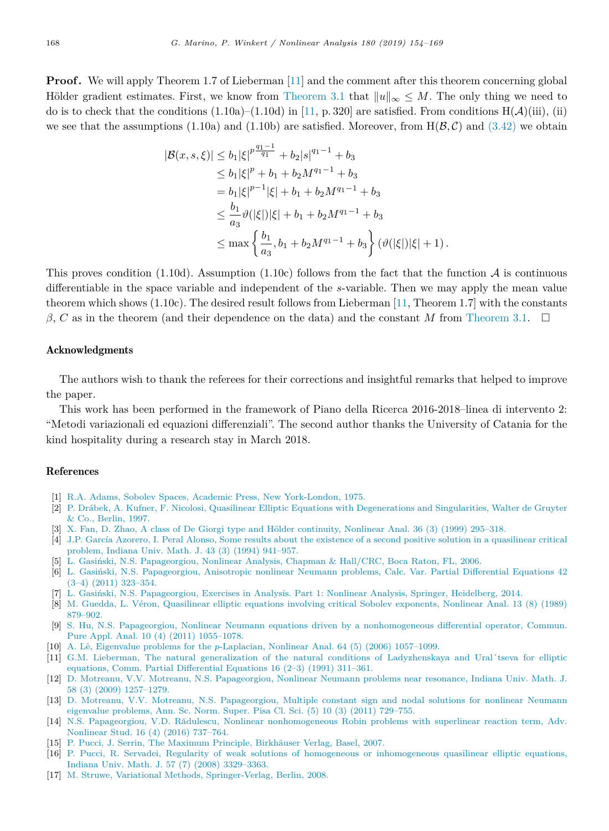**Proof.** We will apply Theorem 1.7 of Lieberman [\[11](#page-14-12)] and the comment after this theorem concerning global Hölder gradient estimates. First, we know from [Theorem](#page-4-1) [3.1](#page-4-1) that  $||u||_{\infty} \leq M$ . The only thing we need to do is to check that the conditions  $(1.10a)$ – $(1.10d)$  in [[11,](#page-14-12) p. 320] are satisfied. From conditions  $H(\mathcal{A})(iii)$ , (ii) we see that the assumptions (1.10a) and (1.10b) are satisfied. Moreover, from  $H(\mathcal{B}, \mathcal{C})$  and [\(3.42\)](#page-11-0) we obtain

$$
|\mathcal{B}(x, s, \xi)| \le b_1 |\xi|^{p \frac{q_1 - 1}{q_1}} + b_2 |s|^{q_1 - 1} + b_3
$$
  
\n
$$
\le b_1 |\xi|^p + b_1 + b_2 M^{q_1 - 1} + b_3
$$
  
\n
$$
= b_1 |\xi|^{p-1} |\xi| + b_1 + b_2 M^{q_1 - 1} + b_3
$$
  
\n
$$
\le \frac{b_1}{a_3} \vartheta(|\xi|) |\xi| + b_1 + b_2 M^{q_1 - 1} + b_3
$$
  
\n
$$
\le \max \left\{ \frac{b_1}{a_3}, b_1 + b_2 M^{q_1 - 1} + b_3 \right\} (\vartheta(|\xi|) |\xi| + 1).
$$

This proves condition (1.10d). Assumption (1.10c) follows from the fact that the function  $\mathcal A$  is continuous differentiable in the space variable and independent of the *s*-variable. Then we may apply the mean value theorem which shows (1.10c). The desired result follows from Lieberman [\[11](#page-14-12), Theorem 1.7] with the constants *β*, *C* as in the theorem (and their dependence on the data) and the constant *M* from [Theorem](#page-4-1) [3.1](#page-4-1). □

#### Acknowledgments

The authors wish to thank the referees for their corrections and insightful remarks that helped to improve the paper.

This work has been performed in the framework of Piano della Ricerca 2016-2018–linea di intervento 2: "Metodi variazionali ed equazioni differenziali". The second author thanks the University of Catania for the kind hospitality during a research stay in March 2018.

#### References

- <span id="page-14-13"></span>[1] [R.A. Adams, Sobolev Spaces, Academic Press, New York-London, 1975.](http://refhub.elsevier.com/S0362-546X(18)30245-1/sb1)
- <span id="page-14-0"></span>[2] [P. Dr´abek, A. Kufner, F. Nicolosi, Quasilinear Elliptic Equations with Degenerations and Singularities, Walter de Gruyter](http://refhub.elsevier.com/S0362-546X(18)30245-1/sb2) [& Co., Berlin, 1997.](http://refhub.elsevier.com/S0362-546X(18)30245-1/sb2)
- <span id="page-14-5"></span>[3] X. Fan, D. Zhao, A class of De Giorgi type and Hölder continuity, Nonlinear Anal. 36 (3) (1999) 295–318.
- <span id="page-14-3"></span>[4] J.P. García Azorero, I. Peral Alonso, Some results about the existence of a second positive solution in a quasilinear critical [problem, Indiana Univ. Math. J. 43 \(3\) \(1994\) 941–957.](http://refhub.elsevier.com/S0362-546X(18)30245-1/sb4)
- <span id="page-14-7"></span>[5] L. Gasiński, N.S. Papageorgiou, Nonlinear Analysis, Chapman & Hall/CRC, Boca Raton, FL, 2006.
- <span id="page-14-6"></span>[6] L. Gasiński, N.S. Papageorgiou, Anisotropic nonlinear Neumann problems, Calc. Var. Partial Differential Equations 42 [\(3–4\) \(2011\) 323–354.](http://refhub.elsevier.com/S0362-546X(18)30245-1/sb6)
- <span id="page-14-16"></span>[7] L. Gasiński, N.S. Papageorgiou, Exercises in Analysis. Part 1: Nonlinear Analysis, Springer, Heidelberg, 2014.
- <span id="page-14-4"></span>[8] [M. Guedda, L. V´eron, Quasilinear elliptic equations involving critical Sobolev exponents, Nonlinear Anal. 13 \(8\) \(1989\)](http://refhub.elsevier.com/S0362-546X(18)30245-1/sb8) [879–902.](http://refhub.elsevier.com/S0362-546X(18)30245-1/sb8)
- <span id="page-14-8"></span>[9] [S. Hu, N.S. Papageorgiou, Nonlinear Neumann equations driven by a nonhomogeneous differential operator, Commun.](http://refhub.elsevier.com/S0362-546X(18)30245-1/sb9) [Pure Appl. Anal. 10 \(4\) \(2011\) 1055–1078.](http://refhub.elsevier.com/S0362-546X(18)30245-1/sb9)
- <span id="page-14-9"></span>[10] A. Lˆe, Eigenvalue problems for the *p*[-Laplacian, Nonlinear Anal. 64 \(5\) \(2006\) 1057–1099.](http://refhub.elsevier.com/S0362-546X(18)30245-1/sb10)
- <span id="page-14-12"></span>[11] [G.M. Lieberman, The natural generalization of the natural conditions of Ladyzhenskaya and Ural´tseva for elliptic](http://refhub.elsevier.com/S0362-546X(18)30245-1/sb11) [equations, Comm. Partial Differential Equations 16 \(2–3\) \(1991\) 311–361.](http://refhub.elsevier.com/S0362-546X(18)30245-1/sb11)
- <span id="page-14-10"></span>[12] [D. Motreanu, V.V. Motreanu, N.S. Papageorgiou, Nonlinear Neumann problems near resonance, Indiana Univ. Math. J.](http://refhub.elsevier.com/S0362-546X(18)30245-1/sb12) [58 \(3\) \(2009\) 1257–1279.](http://refhub.elsevier.com/S0362-546X(18)30245-1/sb12)
- <span id="page-14-15"></span>[13] [D. Motreanu, V.V. Motreanu, N.S. Papageorgiou, Multiple constant sign and nodal solutions for nonlinear Neumann](http://refhub.elsevier.com/S0362-546X(18)30245-1/sb13) [eigenvalue problems, Ann. Sc. Norm. Super. Pisa Cl. Sci. \(5\) 10 \(3\) \(2011\) 729–755.](http://refhub.elsevier.com/S0362-546X(18)30245-1/sb13)
- <span id="page-14-2"></span>[14] N.S. Papageorgiou, V.D. Rădulescu, Nonlinear nonhomogeneous Robin problems with superlinear reaction term, Adv. [Nonlinear Stud. 16 \(4\) \(2016\) 737–764.](http://refhub.elsevier.com/S0362-546X(18)30245-1/sb14)
- <span id="page-14-14"></span>[15] P. Pucci, J. Serrin, The Maximum Principle, Birkhäuser Verlag, Basel, 2007.
- <span id="page-14-11"></span>[16] [P. Pucci, R. Servadei, Regularity of weak solutions of homogeneous or inhomogeneous quasilinear elliptic equations,](http://refhub.elsevier.com/S0362-546X(18)30245-1/sb16) [Indiana Univ. Math. J. 57 \(7\) \(2008\) 3329–3363.](http://refhub.elsevier.com/S0362-546X(18)30245-1/sb16)
- <span id="page-14-1"></span>[17] [M. Struwe, Variational Methods, Springer-Verlag, Berlin, 2008.](http://refhub.elsevier.com/S0362-546X(18)30245-1/sb17)